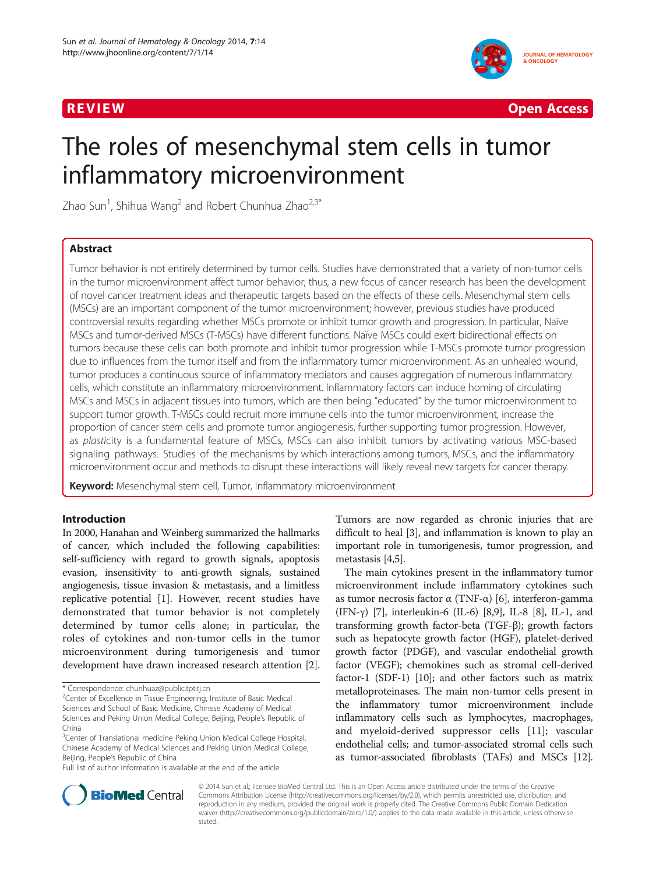



# The roles of mesenchymal stem cells in tumor inflammatory microenvironment

Zhao Sun<sup>1</sup>, Shihua Wang<sup>2</sup> and Robert Chunhua Zhao<sup>2,3\*</sup>

# Abstract

Tumor behavior is not entirely determined by tumor cells. Studies have demonstrated that a variety of non-tumor cells in the tumor microenvironment affect tumor behavior; thus, a new focus of cancer research has been the development of novel cancer treatment ideas and therapeutic targets based on the effects of these cells. Mesenchymal stem cells (MSCs) are an important component of the tumor microenvironment; however, previous studies have produced controversial results regarding whether MSCs promote or inhibit tumor growth and progression. In particular, Naïve MSCs and tumor-derived MSCs (T-MSCs) have different functions. Naïve MSCs could exert bidirectional effects on tumors because these cells can both promote and inhibit tumor progression while T-MSCs promote tumor progression due to influences from the tumor itself and from the inflammatory tumor microenvironment. As an unhealed wound, tumor produces a continuous source of inflammatory mediators and causes aggregation of numerous inflammatory cells, which constitute an inflammatory microenvironment. Inflammatory factors can induce homing of circulating MSCs and MSCs in adjacent tissues into tumors, which are then being "educated" by the tumor microenvironment to support tumor growth. T-MSCs could recruit more immune cells into the tumor microenvironment, increase the proportion of cancer stem cells and promote tumor angiogenesis, further supporting tumor progression. However, as plasticity is a fundamental feature of MSCs, MSCs can also inhibit tumors by activating various MSC-based signaling pathways. Studies of the mechanisms by which interactions among tumors, MSCs, and the inflammatory microenvironment occur and methods to disrupt these interactions will likely reveal new targets for cancer therapy.

Keyword: Mesenchymal stem cell, Tumor, Inflammatory microenvironment

# Introduction

In 2000, Hanahan and Weinberg summarized the hallmarks of cancer, which included the following capabilities: self-sufficiency with regard to growth signals, apoptosis evasion, insensitivity to anti-growth signals, sustained angiogenesis, tissue invasion & metastasis, and a limitless replicative potential [\[1](#page-7-0)]. However, recent studies have demonstrated that tumor behavior is not completely determined by tumor cells alone; in particular, the roles of cytokines and non-tumor cells in the tumor microenvironment during tumorigenesis and tumor development have drawn increased research attention [[2](#page-7-0)].

Full list of author information is available at the end of the article

Tumors are now regarded as chronic injuries that are difficult to heal [[3\]](#page-7-0), and inflammation is known to play an important role in tumorigenesis, tumor progression, and metastasis [\[4,5](#page-7-0)].

The main cytokines present in the inflammatory tumor microenvironment include inflammatory cytokines such as tumor necrosis factor α (TNF-α) [\[6\]](#page-7-0), interferon-gamma (IFN-γ) [[7\]](#page-7-0), interleukin-6 (IL-6) [[8,9](#page-7-0)], IL-8 [[8](#page-7-0)], IL-1, and transforming growth factor-beta (TGF-β); growth factors such as hepatocyte growth factor (HGF), platelet-derived growth factor (PDGF), and vascular endothelial growth factor (VEGF); chemokines such as stromal cell-derived factor-1 (SDF-1) [[10\]](#page-7-0); and other factors such as matrix metalloproteinases. The main non-tumor cells present in the inflammatory tumor microenvironment include inflammatory cells such as lymphocytes, macrophages, and myeloid-derived suppressor cells [\[11](#page-7-0)]; vascular endothelial cells; and tumor-associated stromal cells such as tumor-associated fibroblasts (TAFs) and MSCs [\[12](#page-7-0)].



© 2014 Sun et al.; licensee BioMed Central Ltd. This is an Open Access article distributed under the terms of the Creative Commons Attribution License [\(http://creativecommons.org/licenses/by/2.0\)](http://creativecommons.org/licenses/by/2.0), which permits unrestricted use, distribution, and reproduction in any medium, provided the original work is properly cited. The Creative Commons Public Domain Dedication waiver [\(http://creativecommons.org/publicdomain/zero/1.0/\)](http://creativecommons.org/publicdomain/zero/1.0/) applies to the data made available in this article, unless otherwise stated.

<sup>\*</sup> Correspondence: [chunhuaz@public.tpt.tj.cn](mailto:chunhuaz@public.tpt.tj.cn) <sup>2</sup>

<sup>&</sup>lt;sup>2</sup>Center of Excellence in Tissue Engineering, Institute of Basic Medical Sciences and School of Basic Medicine, Chinese Academy of Medical Sciences and Peking Union Medical College, Beijing, People's Republic of China

<sup>&</sup>lt;sup>3</sup>Center of Translational medicine Peking Union Medical College Hospital, Chinese Academy of Medical Sciences and Peking Union Medical College, Beijing, People's Republic of China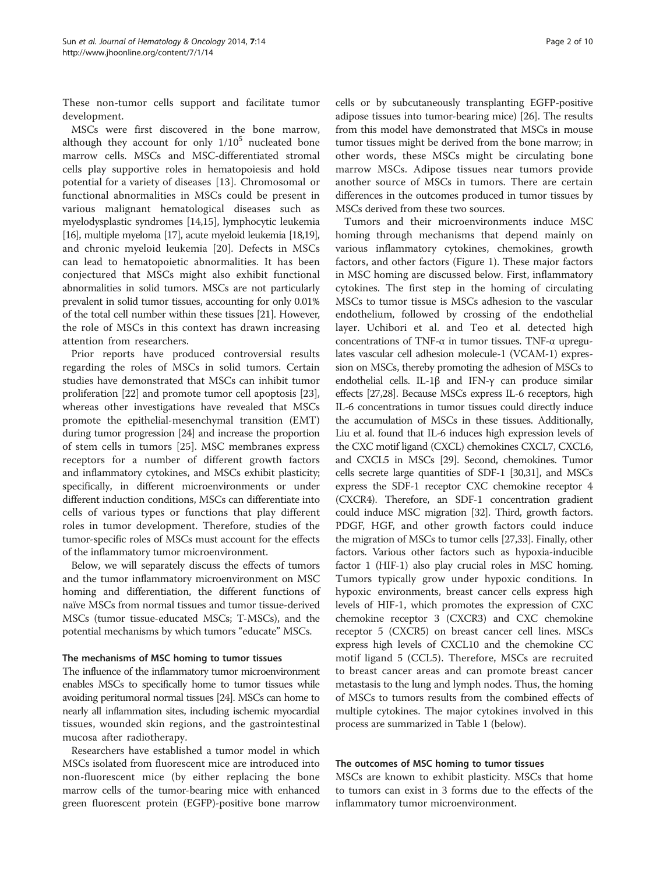These non-tumor cells support and facilitate tumor development.

MSCs were first discovered in the bone marrow, although they account for only  $1/10^5$  nucleated bone marrow cells. MSCs and MSC-differentiated stromal cells play supportive roles in hematopoiesis and hold potential for a variety of diseases [\[13](#page-7-0)]. Chromosomal or functional abnormalities in MSCs could be present in various malignant hematological diseases such as myelodysplastic syndromes [[14,15\]](#page-7-0), lymphocytic leukemia [[16\]](#page-7-0), multiple myeloma [\[17](#page-7-0)], acute myeloid leukemia [\[18,19\]](#page-7-0), and chronic myeloid leukemia [[20\]](#page-7-0). Defects in MSCs can lead to hematopoietic abnormalities. It has been conjectured that MSCs might also exhibit functional abnormalities in solid tumors. MSCs are not particularly prevalent in solid tumor tissues, accounting for only 0.01% of the total cell number within these tissues [\[21\]](#page-7-0). However, the role of MSCs in this context has drawn increasing attention from researchers.

Prior reports have produced controversial results regarding the roles of MSCs in solid tumors. Certain studies have demonstrated that MSCs can inhibit tumor proliferation [[22](#page-7-0)] and promote tumor cell apoptosis [\[23](#page-7-0)], whereas other investigations have revealed that MSCs promote the epithelial-mesenchymal transition (EMT) during tumor progression [[24](#page-7-0)] and increase the proportion of stem cells in tumors [\[25](#page-7-0)]. MSC membranes express receptors for a number of different growth factors and inflammatory cytokines, and MSCs exhibit plasticity; specifically, in different microenvironments or under different induction conditions, MSCs can differentiate into cells of various types or functions that play different roles in tumor development. Therefore, studies of the tumor-specific roles of MSCs must account for the effects of the inflammatory tumor microenvironment.

Below, we will separately discuss the effects of tumors and the tumor inflammatory microenvironment on MSC homing and differentiation, the different functions of naïve MSCs from normal tissues and tumor tissue-derived MSCs (tumor tissue-educated MSCs; T-MSCs), and the potential mechanisms by which tumors "educate" MSCs.

#### The mechanisms of MSC homing to tumor tissues

The influence of the inflammatory tumor microenvironment enables MSCs to specifically home to tumor tissues while avoiding peritumoral normal tissues [\[24\]](#page-7-0). MSCs can home to nearly all inflammation sites, including ischemic myocardial tissues, wounded skin regions, and the gastrointestinal mucosa after radiotherapy.

Researchers have established a tumor model in which MSCs isolated from fluorescent mice are introduced into non-fluorescent mice (by either replacing the bone marrow cells of the tumor-bearing mice with enhanced green fluorescent protein (EGFP)-positive bone marrow

cells or by subcutaneously transplanting EGFP-positive adipose tissues into tumor-bearing mice) [\[26](#page-7-0)]. The results from this model have demonstrated that MSCs in mouse tumor tissues might be derived from the bone marrow; in other words, these MSCs might be circulating bone marrow MSCs. Adipose tissues near tumors provide another source of MSCs in tumors. There are certain differences in the outcomes produced in tumor tissues by MSCs derived from these two sources.

Tumors and their microenvironments induce MSC homing through mechanisms that depend mainly on various inflammatory cytokines, chemokines, growth factors, and other factors (Figure [1](#page-2-0)). These major factors in MSC homing are discussed below. First, inflammatory cytokines. The first step in the homing of circulating MSCs to tumor tissue is MSCs adhesion to the vascular endothelium, followed by crossing of the endothelial layer. Uchibori et al. and Teo et al. detected high concentrations of TNF-α in tumor tissues. TNF-α upregulates vascular cell adhesion molecule-1 (VCAM-1) expression on MSCs, thereby promoting the adhesion of MSCs to endothelial cells. IL-1β and IFN-γ can produce similar effects [\[27,28\]](#page-7-0). Because MSCs express IL-6 receptors, high IL-6 concentrations in tumor tissues could directly induce the accumulation of MSCs in these tissues. Additionally, Liu et al. found that IL-6 induces high expression levels of the CXC motif ligand (CXCL) chemokines CXCL7, CXCL6, and CXCL5 in MSCs [\[29\]](#page-7-0). Second, chemokines. Tumor cells secrete large quantities of SDF-1 [\[30,31\]](#page-7-0), and MSCs express the SDF-1 receptor CXC chemokine receptor 4 (CXCR4). Therefore, an SDF-1 concentration gradient could induce MSC migration [\[32\]](#page-7-0). Third, growth factors. PDGF, HGF, and other growth factors could induce the migration of MSCs to tumor cells [\[27,33](#page-7-0)]. Finally, other factors. Various other factors such as hypoxia-inducible factor 1 (HIF-1) also play crucial roles in MSC homing. Tumors typically grow under hypoxic conditions. In hypoxic environments, breast cancer cells express high levels of HIF-1, which promotes the expression of CXC chemokine receptor 3 (CXCR3) and CXC chemokine receptor 5 (CXCR5) on breast cancer cell lines. MSCs express high levels of CXCL10 and the chemokine CC motif ligand 5 (CCL5). Therefore, MSCs are recruited to breast cancer areas and can promote breast cancer metastasis to the lung and lymph nodes. Thus, the homing of MSCs to tumors results from the combined effects of multiple cytokines. The major cytokines involved in this process are summarized in Table [1](#page-3-0) (below).

#### The outcomes of MSC homing to tumor tissues

MSCs are known to exhibit plasticity. MSCs that home to tumors can exist in 3 forms due to the effects of the inflammatory tumor microenvironment.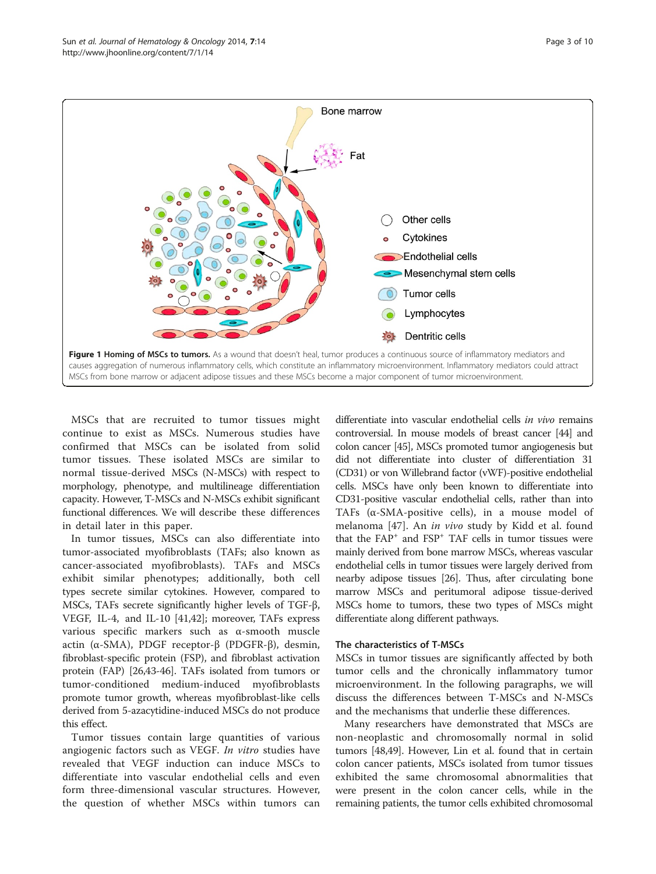<span id="page-2-0"></span>

MSCs that are recruited to tumor tissues might continue to exist as MSCs. Numerous studies have confirmed that MSCs can be isolated from solid tumor tissues. These isolated MSCs are similar to normal tissue-derived MSCs (N-MSCs) with respect to morphology, phenotype, and multilineage differentiation capacity. However, T-MSCs and N-MSCs exhibit significant functional differences. We will describe these differences in detail later in this paper.

In tumor tissues, MSCs can also differentiate into tumor-associated myofibroblasts (TAFs; also known as cancer-associated myofibroblasts). TAFs and MSCs exhibit similar phenotypes; additionally, both cell types secrete similar cytokines. However, compared to MSCs, TAFs secrete significantly higher levels of TGF-β, VEGF, IL-4, and IL-10 [[41,42\]](#page-8-0); moreover, TAFs express various specific markers such as α-smooth muscle actin (α-SMA), PDGF receptor-β (PDGFR-β), desmin, fibroblast-specific protein (FSP), and fibroblast activation protein (FAP) [\[26](#page-7-0)[,43-46\]](#page-8-0). TAFs isolated from tumors or tumor-conditioned medium-induced myofibroblasts promote tumor growth, whereas myofibroblast-like cells derived from 5-azacytidine-induced MSCs do not produce this effect.

Tumor tissues contain large quantities of various angiogenic factors such as VEGF. In vitro studies have revealed that VEGF induction can induce MSCs to differentiate into vascular endothelial cells and even form three-dimensional vascular structures. However, the question of whether MSCs within tumors can

differentiate into vascular endothelial cells in vivo remains controversial. In mouse models of breast cancer [\[44\]](#page-8-0) and colon cancer [[45](#page-8-0)], MSCs promoted tumor angiogenesis but did not differentiate into cluster of differentiation 31 (CD31) or von Willebrand factor (vWF)-positive endothelial cells. MSCs have only been known to differentiate into CD31-positive vascular endothelial cells, rather than into TAFs (α-SMA-positive cells), in a mouse model of melanoma [\[47](#page-8-0)]. An in vivo study by Kidd et al. found that the  $FAP^+$  and  $FSP^+$  TAF cells in tumor tissues were mainly derived from bone marrow MSCs, whereas vascular endothelial cells in tumor tissues were largely derived from nearby adipose tissues [[26](#page-7-0)]. Thus, after circulating bone marrow MSCs and peritumoral adipose tissue-derived MSCs home to tumors, these two types of MSCs might differentiate along different pathways.

#### The characteristics of T-MSCs

MSCs in tumor tissues are significantly affected by both tumor cells and the chronically inflammatory tumor microenvironment. In the following paragraphs, we will discuss the differences between T-MSCs and N-MSCs and the mechanisms that underlie these differences.

Many researchers have demonstrated that MSCs are non-neoplastic and chromosomally normal in solid tumors [\[48,49\]](#page-8-0). However, Lin et al. found that in certain colon cancer patients, MSCs isolated from tumor tissues exhibited the same chromosomal abnormalities that were present in the colon cancer cells, while in the remaining patients, the tumor cells exhibited chromosomal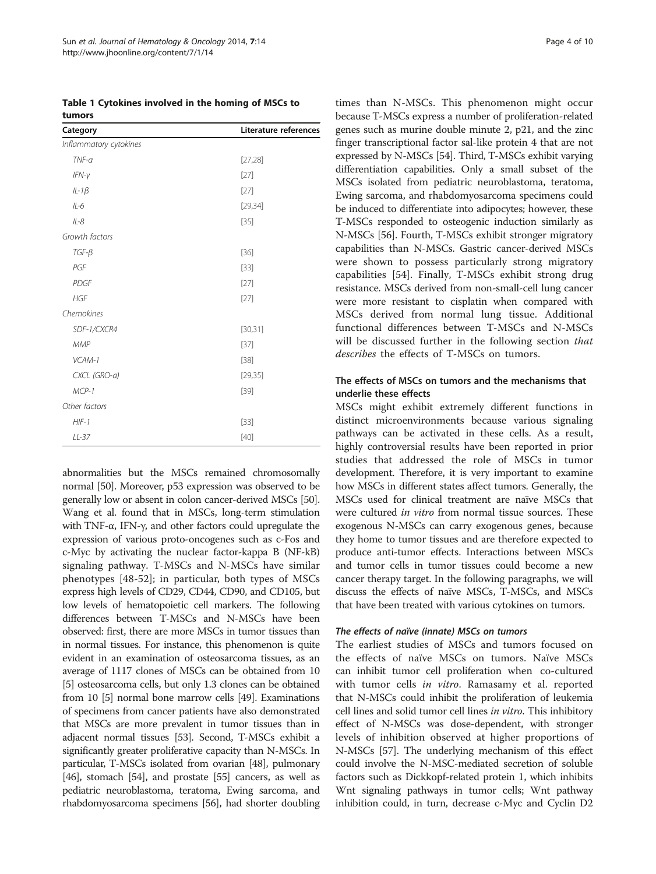<span id="page-3-0"></span>Table 1 Cytokines involved in the homing of MSCs to tumors

| Category               | Literature references |
|------------------------|-----------------------|
| Inflammatory cytokines |                       |
| $TNF-a$                | [27, 28]              |
| $IFN-Y$                | $[27]$                |
| $IL-1\beta$            | $[27]$                |
| $IL-6$                 | [29, 34]              |
| $IL-8$                 | $[35]$                |
| Growth factors         |                       |
| $TGF - \beta$          | $[36]$                |
| PGF                    | $[33]$                |
| <b>PDGF</b>            | [27]                  |
| <b>HGF</b>             | $[27]$                |
| Chemokines             |                       |
| SDF-1/CXCR4            | [30, 31]              |
| <b>MMP</b>             | [37]                  |
| VCAM-1                 | $[38]$                |
| CXCL (GRO-a)           | [29, 35]              |
| $MCP-1$                | $[39]$                |
| Other factors          |                       |
| $HIF-1$                | $[33]$                |
| $LL-37$                | $[40]$                |

abnormalities but the MSCs remained chromosomally normal [\[50\]](#page-8-0). Moreover, p53 expression was observed to be generally low or absent in colon cancer-derived MSCs [\[50](#page-8-0)]. Wang et al. found that in MSCs, long-term stimulation with TNF- $α$ , IFN- $γ$ , and other factors could upregulate the expression of various proto-oncogenes such as c-Fos and c-Myc by activating the nuclear factor-kappa B (NF-kB) signaling pathway. T-MSCs and N-MSCs have similar phenotypes [[48-52](#page-8-0)]; in particular, both types of MSCs express high levels of CD29, CD44, CD90, and CD105, but low levels of hematopoietic cell markers. The following differences between T-MSCs and N-MSCs have been observed: first, there are more MSCs in tumor tissues than in normal tissues. For instance, this phenomenon is quite evident in an examination of osteosarcoma tissues, as an average of 1117 clones of MSCs can be obtained from 10 [[5](#page-7-0)] osteosarcoma cells, but only 1.3 clones can be obtained from 10 [\[5\]](#page-7-0) normal bone marrow cells [\[49](#page-8-0)]. Examinations of specimens from cancer patients have also demonstrated that MSCs are more prevalent in tumor tissues than in adjacent normal tissues [\[53\]](#page-8-0). Second, T-MSCs exhibit a significantly greater proliferative capacity than N-MSCs. In particular, T-MSCs isolated from ovarian [\[48\]](#page-8-0), pulmonary [[46](#page-8-0)], stomach [[54\]](#page-8-0), and prostate [[55](#page-8-0)] cancers, as well as pediatric neuroblastoma, teratoma, Ewing sarcoma, and rhabdomyosarcoma specimens [[56](#page-8-0)], had shorter doubling

times than N-MSCs. This phenomenon might occur because T-MSCs express a number of proliferation-related genes such as murine double minute 2, p21, and the zinc finger transcriptional factor sal-like protein 4 that are not expressed by N-MSCs [\[54\]](#page-8-0). Third, T-MSCs exhibit varying differentiation capabilities. Only a small subset of the MSCs isolated from pediatric neuroblastoma, teratoma, Ewing sarcoma, and rhabdomyosarcoma specimens could be induced to differentiate into adipocytes; however, these T-MSCs responded to osteogenic induction similarly as N-MSCs [\[56\]](#page-8-0). Fourth, T-MSCs exhibit stronger migratory capabilities than N-MSCs. Gastric cancer-derived MSCs were shown to possess particularly strong migratory capabilities [\[54](#page-8-0)]. Finally, T-MSCs exhibit strong drug resistance. MSCs derived from non-small-cell lung cancer were more resistant to cisplatin when compared with MSCs derived from normal lung tissue. Additional functional differences between T-MSCs and N-MSCs will be discussed further in the following section that describes the effects of T-MSCs on tumors.

# The effects of MSCs on tumors and the mechanisms that underlie these effects

MSCs might exhibit extremely different functions in distinct microenvironments because various signaling pathways can be activated in these cells. As a result, highly controversial results have been reported in prior studies that addressed the role of MSCs in tumor development. Therefore, it is very important to examine how MSCs in different states affect tumors. Generally, the MSCs used for clinical treatment are naïve MSCs that were cultured in vitro from normal tissue sources. These exogenous N-MSCs can carry exogenous genes, because they home to tumor tissues and are therefore expected to produce anti-tumor effects. Interactions between MSCs and tumor cells in tumor tissues could become a new cancer therapy target. In the following paragraphs, we will discuss the effects of naïve MSCs, T-MSCs, and MSCs that have been treated with various cytokines on tumors.

# The effects of naïve (innate) MSCs on tumors

The earliest studies of MSCs and tumors focused on the effects of naïve MSCs on tumors. Naïve MSCs can inhibit tumor cell proliferation when co-cultured with tumor cells in vitro. Ramasamy et al. reported that N-MSCs could inhibit the proliferation of leukemia cell lines and solid tumor cell lines in vitro. This inhibitory effect of N-MSCs was dose-dependent, with stronger levels of inhibition observed at higher proportions of N-MSCs [\[57](#page-8-0)]. The underlying mechanism of this effect could involve the N-MSC-mediated secretion of soluble factors such as Dickkopf-related protein 1, which inhibits Wnt signaling pathways in tumor cells; Wnt pathway inhibition could, in turn, decrease c-Myc and Cyclin D2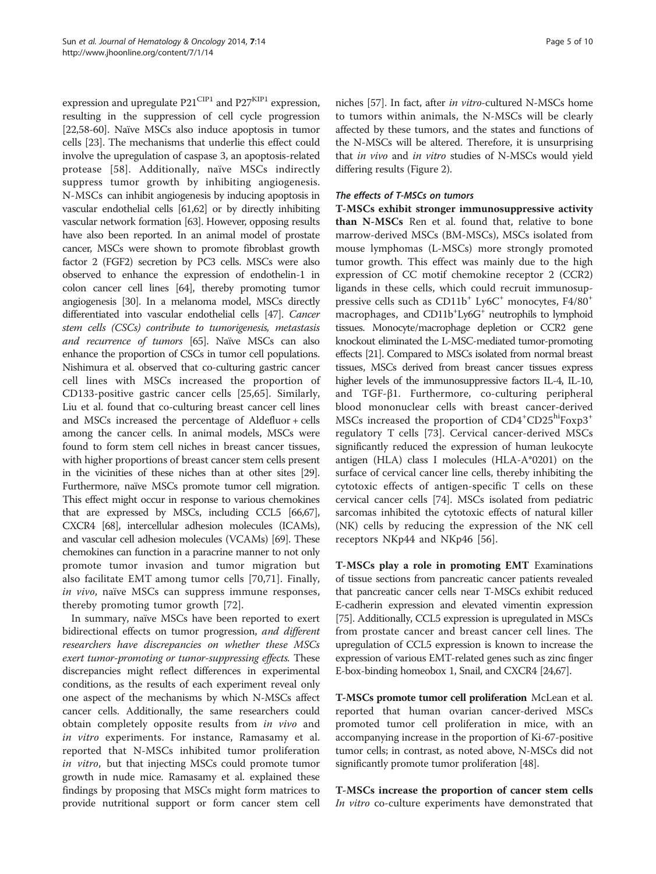expression and upregulate  $P21^{\text{CIP1}}$  and  $P27^{\text{KIP1}}$  expression, resulting in the suppression of cell cycle progression [[22](#page-7-0)[,58](#page-8-0)-[60](#page-8-0)]. Naïve MSCs also induce apoptosis in tumor cells [\[23\]](#page-7-0). The mechanisms that underlie this effect could involve the upregulation of caspase 3, an apoptosis-related protease [[58](#page-8-0)]. Additionally, naïve MSCs indirectly suppress tumor growth by inhibiting angiogenesis. N-MSCs can inhibit angiogenesis by inducing apoptosis in vascular endothelial cells [[61,62](#page-8-0)] or by directly inhibiting vascular network formation [\[63\]](#page-8-0). However, opposing results have also been reported. In an animal model of prostate cancer, MSCs were shown to promote fibroblast growth factor 2 (FGF2) secretion by PC3 cells. MSCs were also observed to enhance the expression of endothelin-1 in colon cancer cell lines [\[64\]](#page-8-0), thereby promoting tumor angiogenesis [[30](#page-7-0)]. In a melanoma model, MSCs directly differentiated into vascular endothelial cells [\[47\]](#page-8-0). Cancer stem cells (CSCs) contribute to tumorigenesis, metastasis and recurrence of tumors [\[65\]](#page-8-0). Naïve MSCs can also enhance the proportion of CSCs in tumor cell populations. Nishimura et al. observed that co-culturing gastric cancer cell lines with MSCs increased the proportion of CD133-positive gastric cancer cells [[25,](#page-7-0)[65\]](#page-8-0). Similarly, Liu et al. found that co-culturing breast cancer cell lines and MSCs increased the percentage of Aldefluor + cells among the cancer cells. In animal models, MSCs were found to form stem cell niches in breast cancer tissues, with higher proportions of breast cancer stem cells present in the vicinities of these niches than at other sites [\[29](#page-7-0)]. Furthermore, naïve MSCs promote tumor cell migration. This effect might occur in response to various chemokines that are expressed by MSCs, including CCL5 [[66,67](#page-8-0)], CXCR4 [\[68\]](#page-8-0), intercellular adhesion molecules (ICAMs), and vascular cell adhesion molecules (VCAMs) [[69](#page-8-0)]. These chemokines can function in a paracrine manner to not only promote tumor invasion and tumor migration but also facilitate EMT among tumor cells [[70,71](#page-8-0)]. Finally, in vivo, naïve MSCs can suppress immune responses, thereby promoting tumor growth [[72\]](#page-8-0).

In summary, naïve MSCs have been reported to exert bidirectional effects on tumor progression, and different researchers have discrepancies on whether these MSCs exert tumor-promoting or tumor-suppressing effects. These discrepancies might reflect differences in experimental conditions, as the results of each experiment reveal only one aspect of the mechanisms by which N-MSCs affect cancer cells. Additionally, the same researchers could obtain completely opposite results from in vivo and in vitro experiments. For instance, Ramasamy et al. reported that N-MSCs inhibited tumor proliferation in vitro, but that injecting MSCs could promote tumor growth in nude mice. Ramasamy et al. explained these findings by proposing that MSCs might form matrices to provide nutritional support or form cancer stem cell niches [\[57](#page-8-0)]. In fact, after in vitro-cultured N-MSCs home to tumors within animals, the N-MSCs will be clearly affected by these tumors, and the states and functions of the N-MSCs will be altered. Therefore, it is unsurprising that in vivo and in vitro studies of N-MSCs would yield differing results (Figure [2](#page-5-0)).

### The effects of T-MSCs on tumors

 $\frac{1}{\text{than N-MSCs}}$  Ren et al. found that, relative to bone marrow-derived MSCs (BM-MSCs), MSCs isolated from mouse lymphomas (L-MSCs) more strongly promoted tumor growth. This effect was mainly due to the high expression of CC motif chemokine receptor 2 (CCR2) ligands in these cells, which could recruit immunosuppressive cells such as CD11b<sup>+</sup> Ly6C<sup>+</sup> monocytes, F4/80<sup>+</sup> macrophages, and CD11b<sup>+</sup>Ly6G<sup>+</sup> neutrophils to lymphoid tissues. Monocyte/macrophage depletion or CCR2 gene knockout eliminated the L-MSC-mediated tumor-promoting effects [\[21\]](#page-7-0). Compared to MSCs isolated from normal breast tissues, MSCs derived from breast cancer tissues express higher levels of the immunosuppressive factors IL-4, IL-10, and TGF-β1. Furthermore, co-culturing peripheral blood mononuclear cells with breast cancer-derived MSCs increased the proportion of CD4+CD25hiFoxp3+ regulatory T cells [[73](#page-8-0)]. Cervical cancer-derived MSCs significantly reduced the expression of human leukocyte antigen (HLA) class I molecules (HLA-A\*0201) on the surface of cervical cancer line cells, thereby inhibiting the cytotoxic effects of antigen-specific T cells on these cervical cancer cells [[74\]](#page-8-0). MSCs isolated from pediatric sarcomas inhibited the cytotoxic effects of natural killer (NK) cells by reducing the expression of the NK cell receptors NKp44 and NKp46 [[56\]](#page-8-0).

T-MSCs play a role in promoting EMT Examinations of tissue sections from pancreatic cancer patients revealed that pancreatic cancer cells near T-MSCs exhibit reduced E-cadherin expression and elevated vimentin expression [[75](#page-8-0)]. Additionally, CCL5 expression is upregulated in MSCs from prostate cancer and breast cancer cell lines. The upregulation of CCL5 expression is known to increase the expression of various EMT-related genes such as zinc finger E-box-binding homeobox 1, Snail, and CXCR4 [\[24,](#page-7-0)[67](#page-8-0)].

T-MSCs promote tumor cell proliferation McLean et al. reported that human ovarian cancer-derived MSCs promoted tumor cell proliferation in mice, with an accompanying increase in the proportion of Ki-67-positive tumor cells; in contrast, as noted above, N-MSCs did not significantly promote tumor proliferation [[48](#page-8-0)].

In vitro co-culture experiments have demonstrated that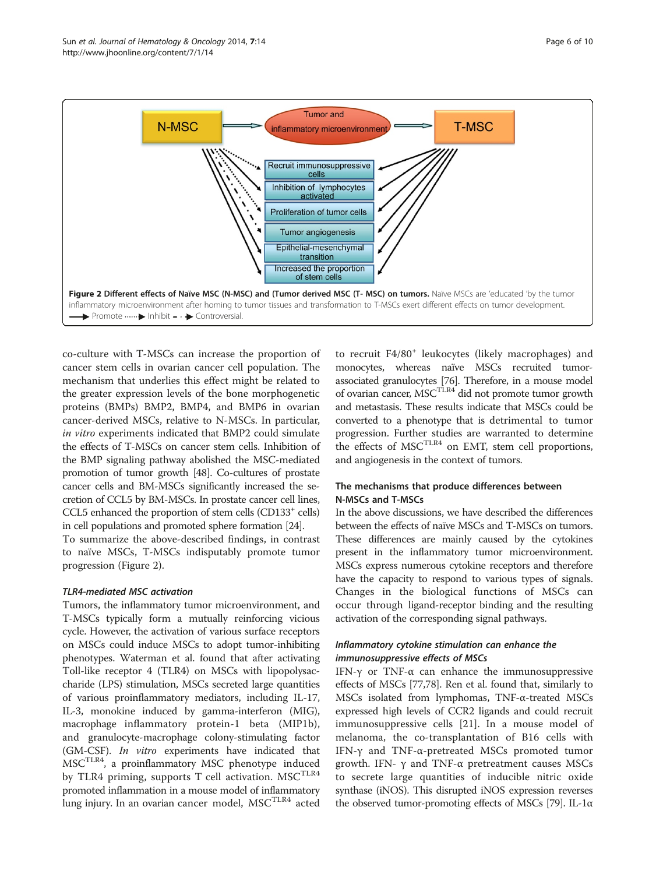<span id="page-5-0"></span>

co-culture with T-MSCs can increase the proportion of cancer stem cells in ovarian cancer cell population. The mechanism that underlies this effect might be related to the greater expression levels of the bone morphogenetic proteins (BMPs) BMP2, BMP4, and BMP6 in ovarian cancer-derived MSCs, relative to N-MSCs. In particular, in vitro experiments indicated that BMP2 could simulate the effects of T-MSCs on cancer stem cells. Inhibition of the BMP signaling pathway abolished the MSC-mediated promotion of tumor growth [\[48\]](#page-8-0). Co-cultures of prostate cancer cells and BM-MSCs significantly increased the secretion of CCL5 by BM-MSCs. In prostate cancer cell lines, CCL5 enhanced the proportion of stem cells (CD133<sup>+</sup> cells) in cell populations and promoted sphere formation [\[24\]](#page-7-0).

To summarize the above-described findings, in contrast to naïve MSCs, T-MSCs indisputably promote tumor progression (Figure 2).

# TLR4-mediated MSC activation

Tumors, the inflammatory tumor microenvironment, and T-MSCs typically form a mutually reinforcing vicious cycle. However, the activation of various surface receptors on MSCs could induce MSCs to adopt tumor-inhibiting phenotypes. Waterman et al. found that after activating Toll-like receptor 4 (TLR4) on MSCs with lipopolysaccharide (LPS) stimulation, MSCs secreted large quantities of various proinflammatory mediators, including IL-17, IL-3, monokine induced by gamma-interferon (MIG), macrophage inflammatory protein-1 beta (MIP1b), and granulocyte-macrophage colony-stimulating factor (GM-CSF). In vitro experiments have indicated that MSCTLR4, a proinflammatory MSC phenotype induced by TLR4 priming, supports T cell activation. MSCTLR4 promoted inflammation in a mouse model of inflammatory lung injury. In an ovarian cancer model,  ${\rm MSC^{TLR4}}$  acted to recruit F4/80<sup>+</sup> leukocytes (likely macrophages) and monocytes, whereas naïve MSCs recruited tumorassociated granulocytes [\[76\]](#page-8-0). Therefore, in a mouse model of ovarian cancer, MSCTLR4 did not promote tumor growth and metastasis. These results indicate that MSCs could be converted to a phenotype that is detrimental to tumor progression. Further studies are warranted to determine the effects of MSCTLR4 on EMT, stem cell proportions, and angiogenesis in the context of tumors.

# The mechanisms that produce differences between N-MSCs and T-MSCs

In the above discussions, we have described the differences between the effects of naïve MSCs and T-MSCs on tumors. These differences are mainly caused by the cytokines present in the inflammatory tumor microenvironment. MSCs express numerous cytokine receptors and therefore have the capacity to respond to various types of signals. Changes in the biological functions of MSCs can occur through ligand-receptor binding and the resulting activation of the corresponding signal pathways.

# Inflammatory cytokine stimulation can enhance the immunosuppressive effects of MSCs

IFN-γ or TNF-α can enhance the immunosuppressive effects of MSCs [[77,78](#page-8-0)]. Ren et al. found that, similarly to MSCs isolated from lymphomas, TNF-α-treated MSCs expressed high levels of CCR2 ligands and could recruit immunosuppressive cells [\[21](#page-7-0)]. In a mouse model of melanoma, the co-transplantation of B16 cells with IFN-γ and TNF-α-pretreated MSCs promoted tumor growth. IFN- γ and TNF-α pretreatment causes MSCs to secrete large quantities of inducible nitric oxide synthase (iNOS). This disrupted iNOS expression reverses the observed tumor-promoting effects of MSCs [\[79\]](#page-8-0). IL-1α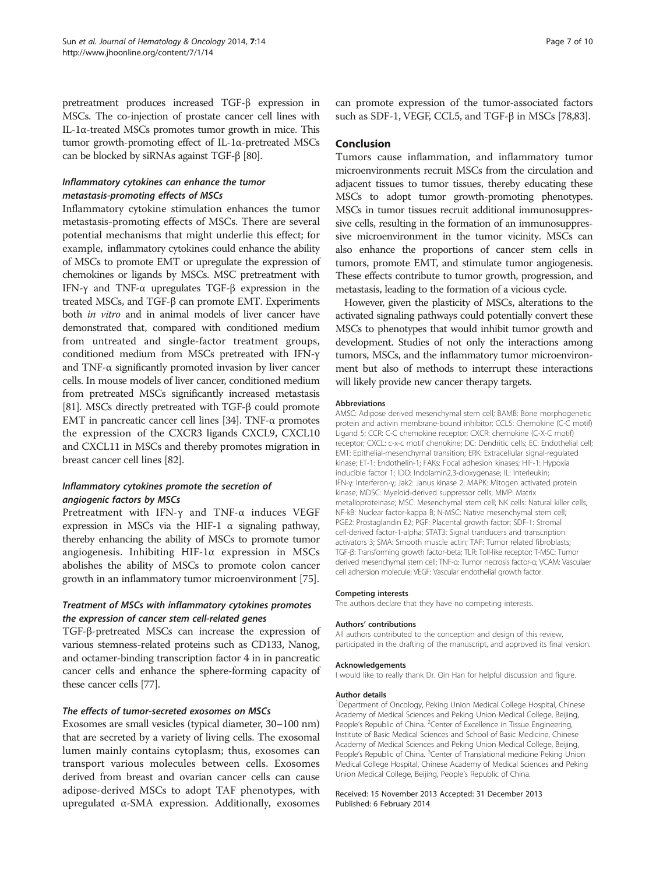pretreatment produces increased TGF-β expression in MSCs. The co-injection of prostate cancer cell lines with IL-1α-treated MSCs promotes tumor growth in mice. This tumor growth-promoting effect of IL-1α-pretreated MSCs can be blocked by siRNAs against TGF-β [[80](#page-8-0)].

# Inflammatory cytokines can enhance the tumor metastasis-promoting effects of MSCs

Inflammatory cytokine stimulation enhances the tumor metastasis-promoting effects of MSCs. There are several potential mechanisms that might underlie this effect; for example, inflammatory cytokines could enhance the ability of MSCs to promote EMT or upregulate the expression of chemokines or ligands by MSCs. MSC pretreatment with IFN-γ and TNF-α upregulates TGF-β expression in the treated MSCs, and TGF-β can promote EMT. Experiments both *in vitro* and in animal models of liver cancer have demonstrated that, compared with conditioned medium from untreated and single-factor treatment groups, conditioned medium from MSCs pretreated with IFN-γ and  $TNF-\alpha$  significantly promoted invasion by liver cancer cells. In mouse models of liver cancer, conditioned medium from pretreated MSCs significantly increased metastasis [[81](#page-8-0)]. MSCs directly pretreated with TGF-β could promote EMT in pancreatic cancer cell lines [[34](#page-7-0)]. TNF- $\alpha$  promotes the expression of the CXCR3 ligands CXCL9, CXCL10 and CXCL11 in MSCs and thereby promotes migration in breast cancer cell lines [\[82](#page-8-0)].

# Inflammatory cytokines promote the secretion of angiogenic factors by MSCs

Pretreatment with IFN-γ and TNF-α induces VEGF expression in MSCs via the HIF-1  $\alpha$  signaling pathway, thereby enhancing the ability of MSCs to promote tumor angiogenesis. Inhibiting HIF-1α expression in MSCs abolishes the ability of MSCs to promote colon cancer growth in an inflammatory tumor microenvironment [\[75\]](#page-8-0).

# Treatment of MSCs with inflammatory cytokines promotes the expression of cancer stem cell-related genes

TGF-β-pretreated MSCs can increase the expression of various stemness-related proteins such as CD133, Nanog, and octamer-binding transcription factor 4 in in pancreatic cancer cells and enhance the sphere-forming capacity of these cancer cells [[77](#page-8-0)].

# The effects of tumor-secreted exosomes on MSCs

Exosomes are small vesicles (typical diameter, 30–100 nm) that are secreted by a variety of living cells. The exosomal lumen mainly contains cytoplasm; thus, exosomes can transport various molecules between cells. Exosomes derived from breast and ovarian cancer cells can cause adipose-derived MSCs to adopt TAF phenotypes, with upregulated α-SMA expression. Additionally, exosomes can promote expression of the tumor-associated factors such as SDF-1, VEGF, CCL5, and TGF-β in MSCs [[78](#page-8-0)[,83](#page-9-0)].

#### Conclusion

Tumors cause inflammation, and inflammatory tumor microenvironments recruit MSCs from the circulation and adjacent tissues to tumor tissues, thereby educating these MSCs to adopt tumor growth-promoting phenotypes. MSCs in tumor tissues recruit additional immunosuppressive cells, resulting in the formation of an immunosuppressive microenvironment in the tumor vicinity. MSCs can also enhance the proportions of cancer stem cells in tumors, promote EMT, and stimulate tumor angiogenesis. These effects contribute to tumor growth, progression, and metastasis, leading to the formation of a vicious cycle.

However, given the plasticity of MSCs, alterations to the activated signaling pathways could potentially convert these MSCs to phenotypes that would inhibit tumor growth and development. Studies of not only the interactions among tumors, MSCs, and the inflammatory tumor microenvironment but also of methods to interrupt these interactions will likely provide new cancer therapy targets.

#### Abbreviations

AMSC: Adipose derived mesenchymal stem cell; BAMB: Bone morphogenetic protein and activin membrane-bound inhibitor; CCL5: Chemokine (C-C motif) Ligand 5; CCR: C-C chemokine receptor; CXCR: chemokine (C-X-C motif) receptor; CXCL: c-x-c motif chenokine; DC: Dendritic cells; EC: Endothelial cell; EMT: Epithelial-mesenchymal transition; ERK: Extracellular signal-regulated kinase; ET-1: Endothelin-1; FAKs: Focal adhesion kinases; HIF-1: Hypoxia inducible factor 1; IDO: Indolamin2,3-dioxygenase; IL: Interleukin; IFN-γ: Interferon-γ; Jak2: Janus kinase 2; MAPK: Mitogen activated protein kinase; MDSC: Myeloid-derived suppressor cells; MMP: Matrix metalloproteinase; MSC: Mesenchymal stem cell; NK cells: Natural killer cells; NF-kB: Nuclear factor-kappa B; N-MSC: Native mesenchymal stem cell; PGE2: Prostaglandin E2; PGF: Placental growth factor; SDF-1: Stromal cell-derived factor-1-alpha; STAT3: Signal tranducers and transcription activators 3; SMA: Smooth muscle actin; TAF: Tumor related fibroblasts; TGF-β: Transforming growth factor-beta; TLR: Toll-like receptor; T-MSC: Tumor derived mesenchymal stem cell; TNF-α: Tumor necrosis factor-α; VCAM: Vasculaer cell adhersion molecule; VEGF: Vascular endothelial growth factor.

#### Competing interests

The authors declare that they have no competing interests.

#### Authors' contributions

All authors contributed to the conception and design of this review, participated in the drafting of the manuscript, and approved its final version.

#### Acknowledgements

I would like to really thank Dr. Qin Han for helpful discussion and figure.

#### Author details

<sup>1</sup>Department of Oncology, Peking Union Medical College Hospital, Chinese Academy of Medical Sciences and Peking Union Medical College, Beijing, People's Republic of China. <sup>2</sup> Center of Excellence in Tissue Engineering, Institute of Basic Medical Sciences and School of Basic Medicine, Chinese Academy of Medical Sciences and Peking Union Medical College, Beijing, People's Republic of China. <sup>3</sup> Center of Translational medicine Peking Union Medical College Hospital, Chinese Academy of Medical Sciences and Peking Union Medical College, Beijing, People's Republic of China.

#### Received: 15 November 2013 Accepted: 31 December 2013 Published: 6 February 2014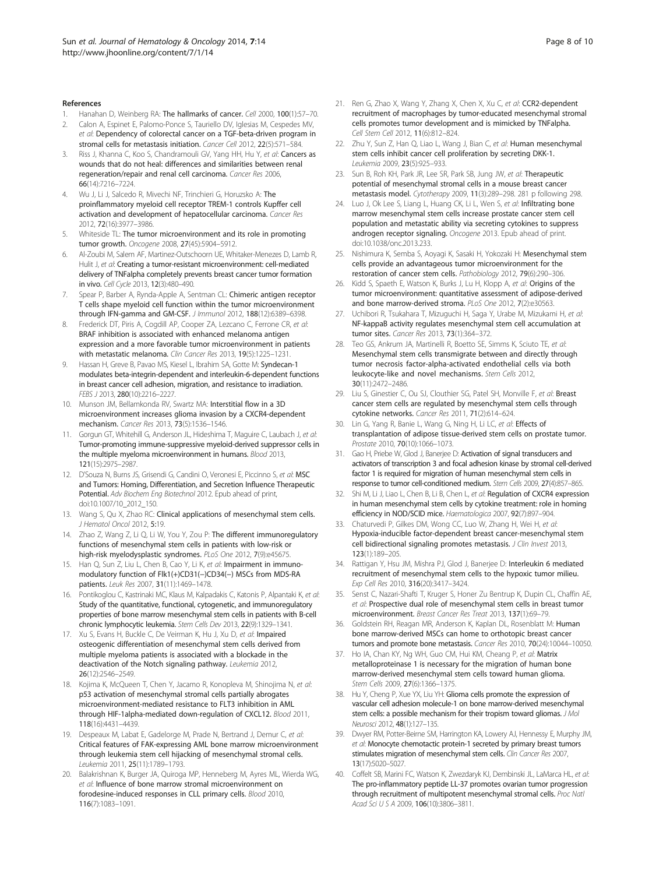#### <span id="page-7-0"></span>**References**

- Hanahan D, Weinberg RA: The hallmarks of cancer. Cell 2000, 100(1):57-70.
- 2. Calon A, Espinet E, Palomo-Ponce S, Tauriello DV, Iglesias M, Cespedes MV, et al: Dependency of colorectal cancer on a TGF-beta-driven program in stromal cells for metastasis initiation. Cancer Cell 2012, 22(5):571–584.
- Riss J, Khanna C, Koo S, Chandramouli GV, Yang HH, Hu Y, et al: Cancers as wounds that do not heal: differences and similarities between renal regeneration/repair and renal cell carcinoma. Cancer Res 2006, 66(14):7216–7224.
- 4. Wu J, Li J, Salcedo R, Mivechi NF, Trinchieri G, Horuzsko A: The proinflammatory myeloid cell receptor TREM-1 controls Kupffer cell activation and development of hepatocellular carcinoma. Cancer Res 2012, 72(16):3977–3986.
- 5. Whiteside TL: The tumor microenvironment and its role in promoting tumor growth. Oncogene 2008, 27(45):5904–5912.
- 6. Al-Zoubi M, Salem AF, Martinez-Outschoorn UE, Whitaker-Menezes D, Lamb R, Hulit J, et al: Creating a tumor-resistant microenvironment: cell-mediated delivery of TNFalpha completely prevents breast cancer tumor formation in vivo. Cell Cycle 2013, 12(3):480–490.
- 7. Spear P, Barber A, Rynda-Apple A, Sentman CL: Chimeric antigen receptor T cells shape myeloid cell function within the tumor microenvironment through IFN-gamma and GM-CSF. J Immunol 2012, 188(12):6389–6398.
- Frederick DT. Piris A, Cogdill AP, Cooper ZA, Lezcano C, Ferrone CR, et al: BRAF inhibition is associated with enhanced melanoma antigen expression and a more favorable tumor microenvironment in patients with metastatic melanoma. Clin Cancer Res 2013, 19(5):1225–1231.
- Hassan H, Greve B, Pavao MS, Kiesel L, Ibrahim SA, Gotte M: Syndecan-1 modulates beta-integrin-dependent and interleukin-6-dependent functions in breast cancer cell adhesion, migration, and resistance to irradiation. FEBS J 2013, 280(10):2216–2227.
- 10. Munson JM, Bellamkonda RV, Swartz MA: Interstitial flow in a 3D microenvironment increases glioma invasion by a CXCR4-dependent mechanism. Cancer Res 2013, 73(5):1536–1546.
- 11. Gorgun GT, Whitehill G, Anderson JL, Hideshima T, Maguire C, Laubach J, et al: Tumor-promoting immune-suppressive myeloid-derived suppressor cells in the multiple myeloma microenvironment in humans. Blood 2013, 121(15):2975–2987.
- 12. D'Souza N, Burns JS, Grisendi G, Candini O, Veronesi E, Piccinno S, et al: MSC and Tumors: Homing, Differentiation, and Secretion Influence Therapeutic Potential. Adv Biochem Eng Biotechnol 2012. Epub ahead of print, doi:10.1007/10\_2012\_150.
- 13. Wang S, Qu X, Zhao RC: Clinical applications of mesenchymal stem cells. J Hematol Oncol 2012, 5:19.
- 14. Zhao Z, Wang Z, Li Q, Li W, You Y, Zou P: The different immunoregulatory functions of mesenchymal stem cells in patients with low-risk or high-risk myelodysplastic syndromes. PLoS One 2012, 7(9):e45675.
- 15. Han Q, Sun Z, Liu L, Chen B, Cao Y, Li K, et al: Impairment in immunomodulatory function of Flk1(+)CD31(−)CD34(−) MSCs from MDS-RA patients. Leuk Res 2007, 31(11):1469–1478.
- 16. Pontikoglou C, Kastrinaki MC, Klaus M, Kalpadakis C, Katonis P, Alpantaki K, et al: Study of the quantitative, functional, cytogenetic, and immunoregulatory properties of bone marrow mesenchymal stem cells in patients with B-cell chronic lymphocytic leukemia. Stem Cells Dev 2013, 22(9):1329–1341.
- 17. Xu S, Evans H, Buckle C, De Veirman K, Hu J, Xu D, et al: Impaired osteogenic differentiation of mesenchymal stem cells derived from multiple myeloma patients is associated with a blockade in the deactivation of the Notch signaling pathway. Leukemia 2012, 26(12):2546–2549.
- 18. Kojima K, McQueen T, Chen Y, Jacamo R, Konopleva M, Shinojima N, et al: p53 activation of mesenchymal stromal cells partially abrogates microenvironment-mediated resistance to FLT3 inhibition in AML through HIF-1alpha-mediated down-regulation of CXCL12. Blood 2011, 118(16):4431–4439.
- 19. Despeaux M, Labat E, Gadelorge M, Prade N, Bertrand J, Demur C, et al: Critical features of FAK-expressing AML bone marrow microenvironment through leukemia stem cell hijacking of mesenchymal stromal cells. Leukemia 2011, 25(11):1789–1793.
- 20. Balakrishnan K, Burger JA, Quiroga MP, Henneberg M, Ayres ML, Wierda WG, et al: Influence of bone marrow stromal microenvironment on forodesine-induced responses in CLL primary cells. Blood 2010, 116(7):1083–1091.
- 21. Ren G, Zhao X, Wang Y, Zhang X, Chen X, Xu C, et al: CCR2-dependent recruitment of macrophages by tumor-educated mesenchymal stromal cells promotes tumor development and is mimicked by TNFalpha. Cell Stem Cell 2012, 11(6):812–824.
- 22. Zhu Y, Sun Z, Han Q, Liao L, Wang J, Bian C, et al: Human mesenchymal stem cells inhibit cancer cell proliferation by secreting DKK-1. Leukemia 2009, 23(5):925–933.
- 23. Sun B, Roh KH, Park JR, Lee SR, Park SB, Jung JW, et al: Therapeutic potential of mesenchymal stromal cells in a mouse breast cancer metastasis model. Cytotherapy 2009, 11(3):289–298. 281 p following 298.
- 24. Luo J, Ok Lee S, Liang L, Huang CK, Li L, Wen S, et al: Infiltrating bone marrow mesenchymal stem cells increase prostate cancer stem cell population and metastatic ability via secreting cytokines to suppress androgen receptor signaling. Oncogene 2013. Epub ahead of print. doi:10.1038/onc.2013.233.
- 25. Nishimura K, Semba S, Aoyagi K, Sasaki H, Yokozaki H: Mesenchymal stem cells provide an advantageous tumor microenvironment for the restoration of cancer stem cells. Pathobiology 2012, 79(6):290–306.
- 26. Kidd S, Spaeth E, Watson K, Burks J, Lu H, Klopp A, et al: Origins of the tumor microenvironment: quantitative assessment of adipose-derived and bone marrow-derived stroma. PLoS One 2012, 7(2):e30563.
- 27. Uchibori R, Tsukahara T, Mizuguchi H, Saga Y, Urabe M, Mizukami H, et al: NF-kappaB activity regulates mesenchymal stem cell accumulation at tumor sites. Cancer Res 2013, 73(1):364–372.
- Teo GS, Ankrum JA, Martinelli R, Boetto SE, Simms K, Sciuto TE, et al: Mesenchymal stem cells transmigrate between and directly through tumor necrosis factor-alpha-activated endothelial cells via both leukocyte-like and novel mechanisms. Stem Cells 2012, 30(11):2472–2486.
- 29. Liu S, Ginestier C, Ou SJ, Clouthier SG, Patel SH, Monville F, et al: Breast cancer stem cells are regulated by mesenchymal stem cells through cytokine networks. Cancer Res 2011, 71(2):614–624.
- 30. Lin G, Yang R, Banie L, Wang G, Ning H, Li LC, et al: Effects of transplantation of adipose tissue-derived stem cells on prostate tumor. Prostate 2010, 70(10):1066–1073.
- 31. Gao H, Priebe W, Glod J, Banerjee D: Activation of signal transducers and activators of transcription 3 and focal adhesion kinase by stromal cell-derived factor 1 is required for migration of human mesenchymal stem cells in response to tumor cell-conditioned medium. Stem Cells 2009, 27(4):857–865.
- 32. Shi M, Li J, Liao L, Chen B, Li B, Chen L, et al: Regulation of CXCR4 expression in human mesenchymal stem cells by cytokine treatment: role in homing efficiency in NOD/SCID mice. Haematologica 2007, 92(7):897–904.
- 33. Chaturvedi P, Gilkes DM, Wong CC, Luo W, Zhang H, Wei H, et al: Hypoxia-inducible factor-dependent breast cancer-mesenchymal stem cell bidirectional signaling promotes metastasis. J Clin Invest 2013, 123(1):189–205.
- 34. Rattigan Y, Hsu JM, Mishra PJ, Glod J, Banerjee D: Interleukin 6 mediated recruitment of mesenchymal stem cells to the hypoxic tumor milieu. Exp Cell Res 2010, 316(20):3417–3424.
- Senst C, Nazari-Shafti T, Kruger S, Honer Zu Bentrup K, Dupin CL, Chaffin AE, et al: Prospective dual role of mesenchymal stem cells in breast tumor microenvironment. Breast Cancer Res Treat 2013, 137(1):69–79.
- 36. Goldstein RH, Reagan MR, Anderson K, Kaplan DL, Rosenblatt M: Human bone marrow-derived MSCs can home to orthotopic breast cancer tumors and promote bone metastasis. Cancer Res 2010, 70(24):10044–10050.
- 37. Ho IA, Chan KY, Ng WH, Guo CM, Hui KM, Cheang P, et al: Matrix metalloproteinase 1 is necessary for the migration of human bone marrow-derived mesenchymal stem cells toward human glioma. Stem Cells 2009, 27(6):1366–1375.
- 38. Hu Y, Cheng P, Xue YX, Liu YH: Glioma cells promote the expression of vascular cell adhesion molecule-1 on bone marrow-derived mesenchymal stem cells: a possible mechanism for their tropism toward gliomas. J Mol Neurosci 2012, 48(1):127–135.
- 39. Dwyer RM, Potter-Beirne SM, Harrington KA, Lowery AJ, Hennessy E, Murphy JM, et al: Monocyte chemotactic protein-1 secreted by primary breast tumors stimulates migration of mesenchymal stem cells. Clin Cancer Res 2007, 13(17):5020–5027.
- 40. Coffelt SB, Marini FC, Watson K, Zwezdaryk KJ, Dembinski JL, LaMarca HL, et al: The pro-inflammatory peptide LL-37 promotes ovarian tumor progression through recruitment of multipotent mesenchymal stromal cells. Proc Natl Acad Sci U S A 2009, 106(10):3806–3811.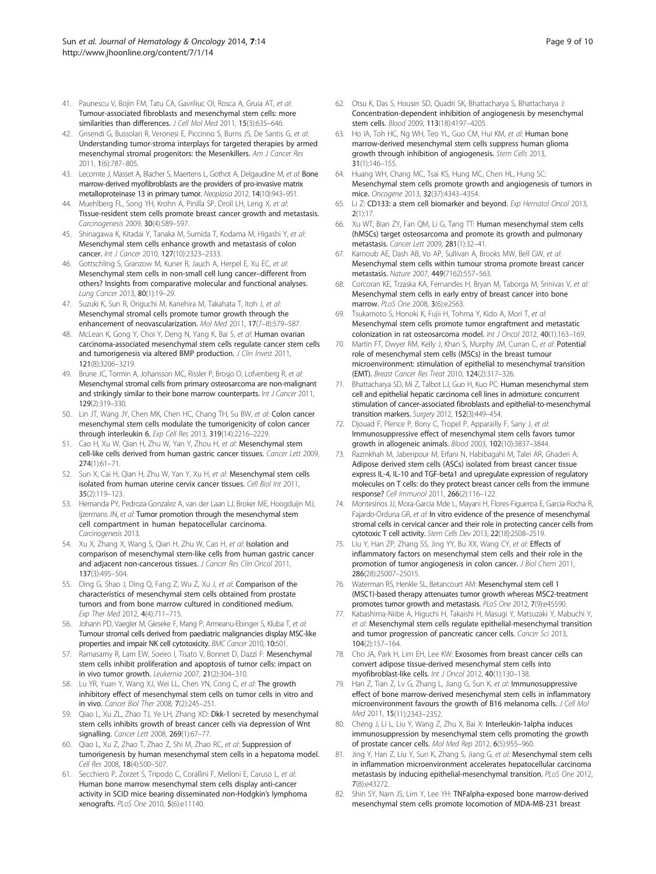- <span id="page-8-0"></span>41. Paunescu V, Bojin FM, Tatu CA, Gavriliuc OI, Rosca A, Gruia AT, et al: Tumour-associated fibroblasts and mesenchymal stem cells: more similarities than differences. J Cell Mol Med 2011, 15(3):635-646.
- 42. Grisendi G, Bussolari R, Veronesi E, Piccinno S, Burns JS, De Santis G, et al: Understanding tumor-stroma interplays for targeted therapies by armed mesenchymal stromal progenitors: the Mesenkillers. Am J Cancer Res 2011, 1(6):787–805.
- 43. Lecomte J, Masset A, Blacher S, Maertens L, Gothot A, Delgaudine M, et al: Bone marrow-derived myofibroblasts are the providers of pro-invasive matrix metalloproteinase 13 in primary tumor. Neoplasia 2012, 14(10):943–951.
- 44. Muehlberg FL, Song YH, Krohn A, Pinilla SP, Droll LH, Leng X, et al: Tissue-resident stem cells promote breast cancer growth and metastasis. Carcinogenesis 2009, 30(4):589–597.
- 45. Shinagawa K, Kitadai Y, Tanaka M, Sumida T, Kodama M, Higashi Y, et al: Mesenchymal stem cells enhance growth and metastasis of colon cancer. Int J Cancer 2010, 127(10):2323–2333.
- 46. Gottschling S, Granzow M, Kuner R, Jauch A, Herpel E, Xu EC, et al: Mesenchymal stem cells in non-small cell lung cancer–different from others? Insights from comparative molecular and functional analyses. Lung Cancer 2013, 80(1):19–29.
- 47. Suzuki K, Sun R, Origuchi M, Kanehira M, Takahata T, Itoh J, et al: Mesenchymal stromal cells promote tumor growth through the enhancement of neovascularization. Mol Med 2011, 17(7–8):579–587.
- 48. McLean K, Gong Y, Choi Y, Deng N, Yang K, Bai S, et al: Human ovarian carcinoma-associated mesenchymal stem cells regulate cancer stem cells and tumorigenesis via altered BMP production. J Clin Invest 2011, 121(8):3206–3219.
- 49. Brune JC, Tormin A, Johansson MC, Rissler P, Brosjo O, Lofvenberg R, et al: Mesenchymal stromal cells from primary osteosarcoma are non-malignant and strikingly similar to their bone marrow counterparts. Int J Cancer 2011, 129(2):319–330.
- 50. Lin JT, Wang JY, Chen MK, Chen HC, Chang TH, Su BW, et al: Colon cancer mesenchymal stem cells modulate the tumorigenicity of colon cancer through interleukin 6. Exp Cell Res 2013, 319(14):2216–2229.
- 51. Cao H, Xu W, Qian H, Zhu W, Yan Y, Zhou H, et al: Mesenchymal stem cell-like cells derived from human gastric cancer tissues. Cancer Lett 2009, 274(1):61–71.
- 52. Sun X, Cai H, Qian H, Zhu W, Yan Y, Xu H, et al: Mesenchymal stem cells isolated from human uterine cervix cancer tissues. Cell Biol Int 2011, 35(2):119–123.
- 53. Hernanda PY, Pedroza-Gonzalez A, van der Laan LJ, Broker ME, Hoogduijn MJ, Ijzermans JN, et al: Tumor promotion through the mesenchymal stem cell compartment in human hepatocellular carcinoma. Carcinogenesis 2013.
- 54. Xu X, Zhang X, Wang S, Qian H, Zhu W, Cao H, et al: Isolation and comparison of mesenchymal stem-like cells from human gastric cancer and adjacent non-cancerous tissues. J Cancer Res Clin Oncol 2011, 137(3):495–504.
- 55. Ding G, Shao J, Ding Q, Fang Z, Wu Z, Xu J, et al: Comparison of the characteristics of mesenchymal stem cells obtained from prostate tumors and from bone marrow cultured in conditioned medium. Exp Ther Med 2012, 4(4):711–715.
- 56. Johann PD, Vaegler M, Gieseke F, Mang P, Armeanu-Ebinger S, Kluba T, et al: Tumour stromal cells derived from paediatric malignancies display MSC-like properties and impair NK cell cytotoxicity. BMC Cancer 2010, 10:501.
- 57. Ramasamy R, Lam EW, Soeiro I, Tisato V, Bonnet D, Dazzi F: Mesenchymal stem cells inhibit proliferation and apoptosis of tumor cells: impact on in vivo tumor growth. Leukemia 2007, 21(2):304–310.
- 58. Lu YR, Yuan Y, Wang XJ, Wei LL, Chen YN, Cong C, et al: The growth inhibitory effect of mesenchymal stem cells on tumor cells in vitro and in vivo. Cancer Biol Ther 2008, 7(2):245–251.
- 59. Qiao L, Xu ZL, Zhao TJ, Ye LH, Zhang XD: Dkk-1 secreted by mesenchymal stem cells inhibits growth of breast cancer cells via depression of Wnt signalling. Cancer Lett 2008, 269(1):67–77.
- 60. Qiao L, Xu Z, Zhao T, Zhao Z, Shi M, Zhao RC, et al: Suppression of tumorigenesis by human mesenchymal stem cells in a hepatoma model. Cell Res 2008, 18(4):500–507.
- 61. Secchiero P, Zorzet S, Tripodo C, Corallini F, Melloni E, Caruso L, et al: Human bone marrow mesenchymal stem cells display anti-cancer activity in SCID mice bearing disseminated non-Hodgkin's lymphoma xenografts. PLoS One 2010, 5(6):e11140.
- 62. Otsu K, Das S, Houser SD, Quadri SK, Bhattacharya S, Bhattacharya J: Concentration-dependent inhibition of angiogenesis by mesenchymal stem cells. Blood 2009, 113(18):4197–4205.
- 63. Ho IA, Toh HC, Ng WH, Teo YL, Guo CM, Hui KM, et al: Human bone marrow-derived mesenchymal stem cells suppress human glioma growth through inhibition of angiogenesis. Stem Cells 2013, 31(1):146–155.
- 64. Huang WH, Chang MC, Tsai KS, Hung MC, Chen HL, Hung SC: Mesenchymal stem cells promote growth and angiogenesis of tumors in mice. Oncogene 2013, 32(37):4343–4354.
- Li Z: CD133: a stem cell biomarker and beyond. Exp Hematol Oncol 2013,  $2(1):17$
- 66. Xu WT, Bian ZY, Fan QM, Li G, Tang TT: Human mesenchymal stem cells (hMSCs) target osteosarcoma and promote its growth and pulmonary metastasis. Cancer Lett 2009, 281(1):32–41.
- 67. Karnoub AE, Dash AB, Vo AP, Sullivan A, Brooks MW, Bell GW, et al: Mesenchymal stem cells within tumour stroma promote breast cancer metastasis. Nature 2007, 449(7162):557–563.
- 68. Corcoran KE, Trzaska KA, Fernandes H, Bryan M, Taborga M, Srinivas V, et al: Mesenchymal stem cells in early entry of breast cancer into bone marrow. PLoS One 2008, 3(6):e2563.
- 69. Tsukamoto S, Honoki K, Fujii H, Tohma Y, Kido A, Mori T, et al: Mesenchymal stem cells promote tumor engraftment and metastatic colonization in rat osteosarcoma model. Int J Oncol 2012, 40(1):163-169.
- 70. Martin FT, Dwyer RM, Kelly J, Khan S, Murphy JM, Curran C, et al: Potential role of mesenchymal stem cells (MSCs) in the breast tumour microenvironment: stimulation of epithelial to mesenchymal transition (EMT). Breast Cancer Res Treat 2010, 124(2):317–326.
- 71. Bhattacharya SD, Mi Z, Talbot LJ, Guo H, Kuo PC: Human mesenchymal stem cell and epithelial hepatic carcinoma cell lines in admixture: concurrent stimulation of cancer-associated fibroblasts and epithelial-to-mesenchymal transition markers. Surgery 2012, 152(3):449–454.
- 72. Djouad F, Plence P, Bony C, Tropel P, Apparailly F, Sany J, et al: Immunosuppressive effect of mesenchymal stem cells favors tumor growth in allogeneic animals. Blood 2003, 102(10):3837–3844.
- 73. Razmkhah M, Jaberipour M, Erfani N, Habibagahi M, Talei AR, Ghaderi A: Adipose derived stem cells (ASCs) isolated from breast cancer tissue express IL-4, IL-10 and TGF-beta1 and upregulate expression of regulatory molecules on T cells: do they protect breast cancer cells from the immune response? Cell Immunol 2011, 266(2):116–122.
- 74. Montesinos JJ, Mora-Garcia Mde L, Mayani H, Flores-Figueroa E, Garcia-Rocha R, Fajardo-Orduna GR, et al: In vitro evidence of the presence of mesenchymal stromal cells in cervical cancer and their role in protecting cancer cells from cytotoxic T cell activity. Stem Cells Dev 2013, 22(18):2508–2519.
- 75. Liu Y, Han ZP, Zhang SS, Jing YY, Bu XX, Wang CY, et al: Effects of inflammatory factors on mesenchymal stem cells and their role in the promotion of tumor angiogenesis in colon cancer. J Biol Chem 2011, 286(28):25007–25015.
- 76. Waterman RS, Henkle SL, Betancourt AM: Mesenchymal stem cell 1 (MSC1)-based therapy attenuates tumor growth whereas MSC2-treatment promotes tumor growth and metastasis. PLoS One 2012, 7(9):e45590.
- 77. Kabashima-Niibe A, Higuchi H, Takaishi H, Masugi Y, Matsuzaki Y, Mabuchi Y, et al: Mesenchymal stem cells regulate epithelial-mesenchymal transition and tumor progression of pancreatic cancer cells. Cancer Sci 2013, 104(2):157–164.
- 78. Cho JA, Park H, Lim EH, Lee KW: Exosomes from breast cancer cells can convert adipose tissue-derived mesenchymal stem cells into myofibroblast-like cells. Int J Oncol 2012, 40(1):130–138.
- 79. Han Z, Tian Z, Lv G, Zhang L, Jiang G, Sun K, et al: Immunosuppressive effect of bone marrow-derived mesenchymal stem cells in inflammatory microenvironment favours the growth of B16 melanoma cells. J Cell Mol Med 2011, 15(11):2343–2352.
- 80. Cheng J, Li L, Liu Y, Wang Z, Zhu X, Bai X: Interleukin-1alpha induces immunosuppression by mesenchymal stem cells promoting the growth of prostate cancer cells. Mol Med Rep 2012, 6(5):955–960.
- 81. Jing Y, Han Z, Liu Y, Sun K, Zhang S, Jiang G, et al: Mesenchymal stem cells in inflammation microenvironment accelerates hepatocellular carcinoma metastasis by inducing epithelial-mesenchymal transition. PLoS One 2012, 7(8):e43272.
- 82. Shin SY, Nam JS, Lim Y, Lee YH: TNFalpha-exposed bone marrow-derived mesenchymal stem cells promote locomotion of MDA-MB-231 breast